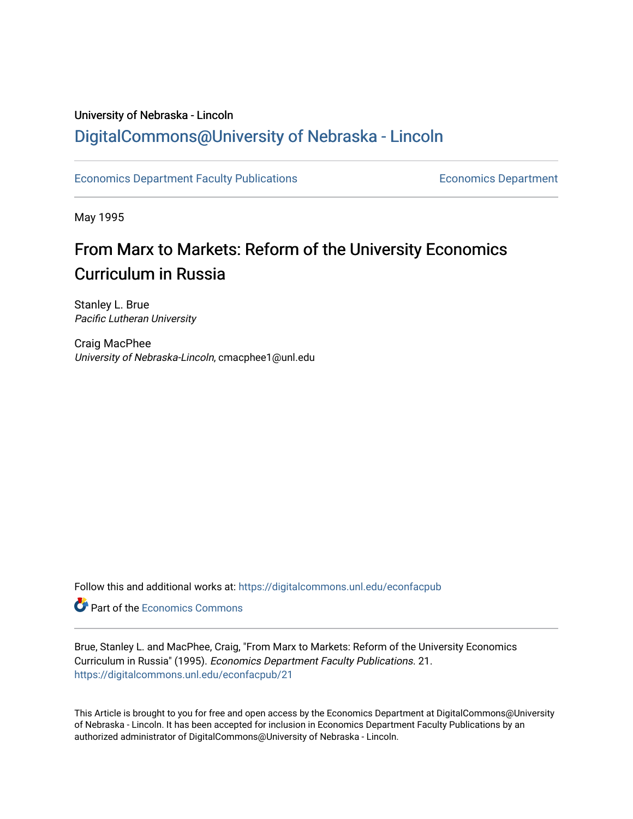## University of Nebraska - Lincoln [DigitalCommons@University of Nebraska - Lincoln](https://digitalcommons.unl.edu/)

[Economics Department Faculty Publications](https://digitalcommons.unl.edu/econfacpub) **Economics Department** 

May 1995

# From Marx to Markets: Reform of the University Economics Curriculum in Russia

Stanley L. Brue Pacific Lutheran University

Craig MacPhee University of Nebraska-Lincoln, cmacphee1@unl.edu

Follow this and additional works at: [https://digitalcommons.unl.edu/econfacpub](https://digitalcommons.unl.edu/econfacpub?utm_source=digitalcommons.unl.edu%2Feconfacpub%2F21&utm_medium=PDF&utm_campaign=PDFCoverPages)

Part of the [Economics Commons](http://network.bepress.com/hgg/discipline/340?utm_source=digitalcommons.unl.edu%2Feconfacpub%2F21&utm_medium=PDF&utm_campaign=PDFCoverPages)

Brue, Stanley L. and MacPhee, Craig, "From Marx to Markets: Reform of the University Economics Curriculum in Russia" (1995). Economics Department Faculty Publications. 21. [https://digitalcommons.unl.edu/econfacpub/21](https://digitalcommons.unl.edu/econfacpub/21?utm_source=digitalcommons.unl.edu%2Feconfacpub%2F21&utm_medium=PDF&utm_campaign=PDFCoverPages) 

This Article is brought to you for free and open access by the Economics Department at DigitalCommons@University of Nebraska - Lincoln. It has been accepted for inclusion in Economics Department Faculty Publications by an authorized administrator of DigitalCommons@University of Nebraska - Lincoln.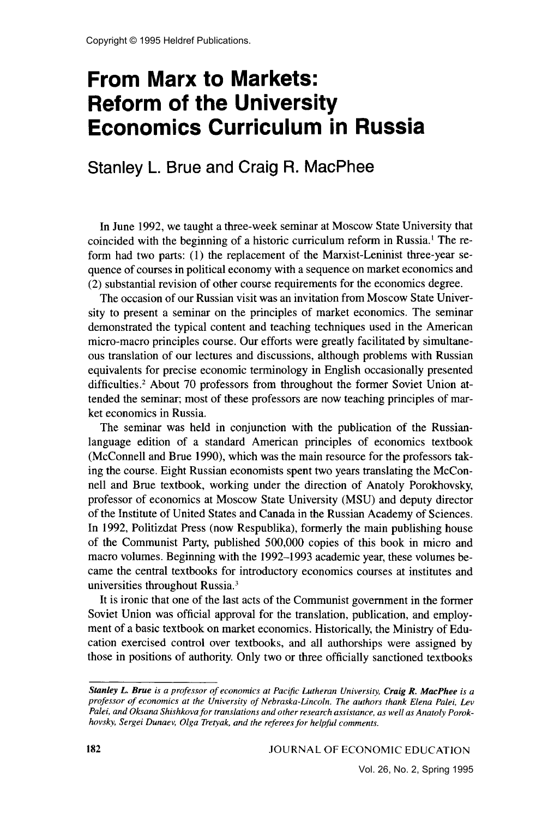## **From Marx to Markets: Reform of the University Economics Curriculum in Russia**

## Stanley L. Brue and Craig R. MacPhee

In June 1992, we taught a three-week seminar at Moscow State University that coincided with the beginning of a historic curriculum reform in Russia.' The reform had two parts: (I) the replacement of the Marxist-Leninist three-year sequence of courses in political economy with a sequence on market economics and (2) substantial revision of other course requirements for the economics degree.

The occasion of our Russian visit was an invitation from Moscow State University to present a seminar on the principles of market economics. The seminar demonstrated the typical content and teaching techniques used in the American micro-macro principles course. Our efforts were greatly facilitated by simultaneous translation of our lectures and discussions, although problems with Russian equivalents for precise economic terminology in English occasionally presented difficulties.<sup>2</sup> About 70 professors from throughout the former Soviet Union attended the seminar; most of these professors are now teaching principles of market economics in Russia.

The seminar was held in conjunction with the publication of the Russianlanguage edition of a standard American principles of economics textbook (McConnell and Brue 1990), which was the main resource for the professors taking the course. Eight Russian economists spent two years translating the McConnell and Brue textbook, working under the direction of Anatoly Porokhovsky, professor of economics at Moscow State University (MSU) and deputy director of the Institute of United States and Canada in the Russian Academy of Sciences. In 1992, Politizdat Press (now Respublika), formerly the main publishing house of the Communist Party, published 500,000 copies of this book in micro and macro volumes. Beginning with the 1992-1993 academic year, these volumes became the central textbooks for introductory economics courses at institutes and universities throughout Russia. $<sup>3</sup>$ </sup>

It is ironic that one of the last acts of the Communist government in the former Soviet Union was official approval for the translation, publication, and employment of a basic textbook on market economics. Historically, the Ministry of Education exercised control over textbooks, and all authorships were assigned by those in positions of authority. Only two or three officially sanctioned textbooks

*Stanley L. Brue is a professor of economics at Pacijic Lutheran University, Craig R. MacPhee is a professor of economics at the University of Nebraska-Lincoln. The authors thank Elena Palei, Lev Palei, and Oksana Shishkova for translations and other research assistance, as well as Anatoly Porokhovsky, Sergei Dunaev, Olga Tretyak, and the referees for helpful comments.*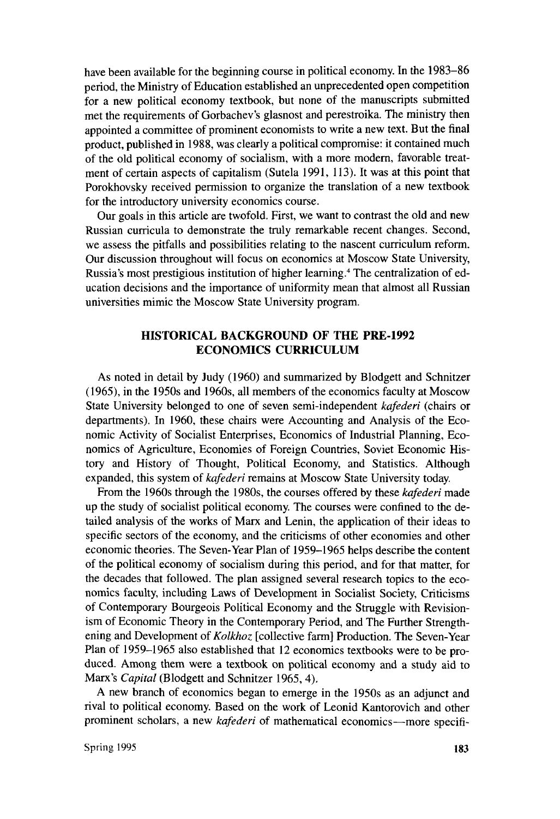have been available for the beginning course in political economy. In the 1983-86 period, the Ministry of Education established an unprecedented open competition for a new political economy textbook, but none of the manuscripts submitted met the requirements of Gorbachev's glasnost and perestroika. The ministry then appointed a committee of prominent economists to write a new text. But the final product, published in 1988, was clearly a political compromise: it contained much of the old political economy of socialism, with a more modem, favorable treatment of certain aspects of capitalism (Sutela 1991, 113). It was at this point that Porokhovsky received permission to organize the translation of a new textbook for the introductory university economics course.

Our goals in this article are twofold. First, we want to contrast the old and new Russian curricula to demonstrate the truly remarkable recent changes. Second, we assess the pitfalls and possibilities relating to the nascent curriculum reform. Our discussion throughout will focus on economics at Moscow State University, Russia's most prestigious institution of higher learning.<sup>4</sup> The centralization of education decisions and the importance of uniformity mean that almost all Russian universities mimic the Moscow State University program.

## **HISTORICAL BACKGROUND OF THE PRE-1992 ECONOMICS CURRICULUM**

As noted in detail by Judy (1960) and summarized by Blodgett and Schnitzer (1965), in the 1950s and 1960s, all members of the economics faculty at Moscow State University belonged to one of seven semi-independent *kafederi* (chairs or departments). In 1960, these chairs were Accounting and Analysis of the Economic Activity of Socialist Enterprises, Economics of Industrial Planning, Economics of Agriculture, Economies of Foreign Countries, Soviet Economic History and History of Thought, Political Economy, and Statistics. Although expanded, this system of *kafederi* remains at Moscow State University today.

From the 1960s through the 1980s, the courses offered by these *kafederi* made up the study of socialist political economy. The courses were confined to the detailed analysis of the works of Marx and Lenin, the application of their ideas to specific sectors of the economy, and the criticisms of other economies and other economic theories. The Seven-Year Plan of 1959-1965 helps describe the content of the political economy of socialism during this period, and for that matter, for the decades that followed. The plan assigned several research topics to the economics faculty, including Laws of Development in Socialist Society, Criticisms of Contemporary Bourgeois Political Economy and the Struggle with Revisionism of Economic Theory in the Contemporary Period, and The Further Strengthening and Development of *Kolkhoz* [collective farm] Production. The Seven-Year Plan of 1959-1965 also established that 12 economics textbooks were to be produced. Among them were a textbook on political economy and a study aid to Marx's *Capital* (Blodgett and Schnitzer 1965, 4).

A new branch of economics began to emerge in the 1950s as an adjunct and rival to political economy. Based on the work of Leonid Kantorovich and other prominent scholars, a new *kafederi* of mathematical economics-more specifi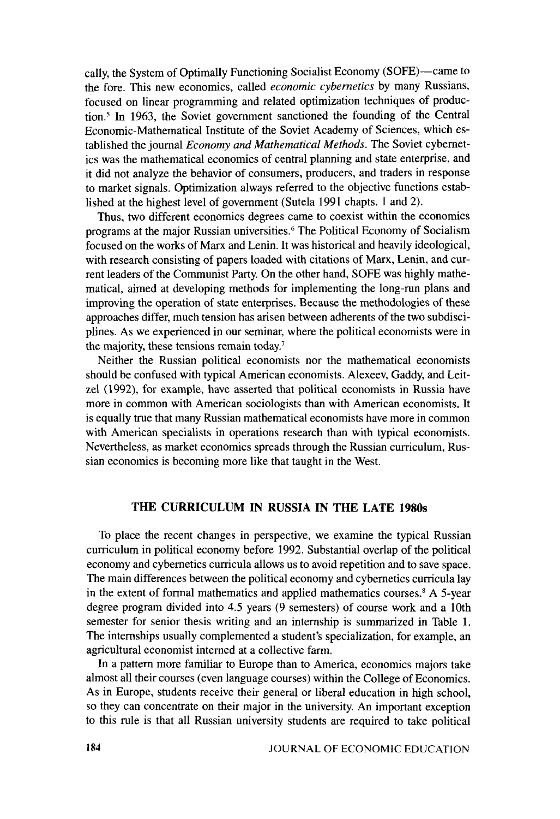cally, the System of Optimally Functioning Socialist Economy (SOFE)-came to the fore. This new economics, called *economic cybernetics* by many Russians, focused on linear programming and related optimization techniques of production. $<sup>5</sup>$  In 1963, the Soviet government sanctioned the founding of the Central</sup> Economic-Mathematical Institute of the Soviet Academy of Sciences, which established the journal *Economy and Mathematical Methods.* The Soviet cybernetics was the mathematical economics of central planning and state enterprise, and it did not analyze the behavior of consumers, producers, and traders in response to market signals. Optimization always referred to the objective functions established at the highest level of government (Sutela 1991 chapts. 1 and 2).

Thus, two different economics degrees came to coexist within the economics programs at the major Russian universities.<sup>6</sup> The Political Economy of Socialism focused on the works of Marx and Lenin. It was historical and heavily ideological, with research consisting of papers loaded with citations of Marx, Lenin, and current leaders of the Communist Party. On the other hand, SOFE was highly mathematical, aimed at developing methods for implementing the long-run plans and improving the operation of state enterprises. Because the methodologies of these approaches differ, much tension has arisen between adherents of the two subdisciplines. As we experienced in our seminar, where the political economists were in the majority, these tensions remain today.'

Neither the Russian political economists nor the mathematical economists should be confused with typical American economists. Alexeev, Gaddy, and Leitzel (1992), for example, have asserted that political economists in Russia have more in common with American sociologists than with American economists. It is equally true that many Russian mathematical economists have more in common with American specialists in operations research than with typical economists. Nevertheless, as market economics spreads through the Russian curriculum, Russian economics is becoming more like that taught in the West.

## **THE CURRICULUM IN RUSSIA IN THE LATE 1980s**

To place the recent changes in perspective, we examine the typical Russian curriculum in political economy before 1992. Substantial overlap of the political economy and cybernetics curricula allows us to avoid repetition and to save space. The main differences between the political economy and cybernetics curricula lay in the extent of formal mathematics and applied mathematics courses.<sup>8</sup> A 5-year degree program divided into 4.5 years (9 semesters) of course work and a 10th semester for senior thesis writing and an internship is summarized in Table 1. The internships usually complemented a student's specialization, for example, an agricultural economist interned at a collective farm.

In a pattern more familiar to Europe than to America, economics majors take almost all their courses (even language courses) within the College of Economics. As in Europe, students receive their general or liberal education in high school, so they can concentrate on their major in the university. An important exception to this rule is that all Russian university students are required to take political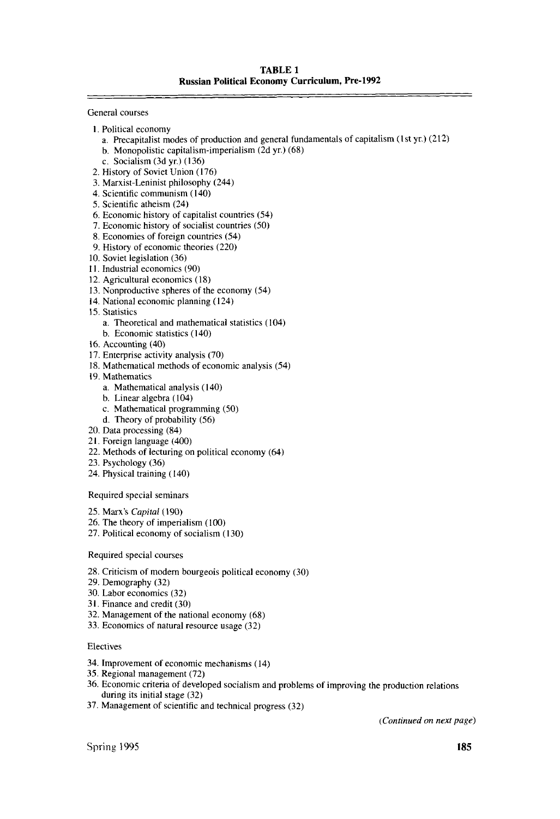General courses

1. Political economy

- a. Precapitalist modes of production and general fundamentals of capitalism (1st yr.) (212)
- b. Monopolistic capitalism-imperialism (2d yr.) (68)
- c. Socialism (3d yr.) (136)
- 2. History of Soviet Union (176)
- 3. Marxist-Leninist philosophy (244)
- 4. Scientific communism (140)
- 5. Scientific atheism (24)
- 6. Economic history of capitalist countries (54)
- 7. Economic history of socialist countries (50)
- 8. Economies of foreign countries (54)
- 9. History of economic theories (220)
- 10. Soviet legislation (36)
- 11. Industrial economics (90)
- 12. Agricultural economics (18)
- 13. Nonproductive spheres of the economy (54)
- 14. National economic planning (124)
- 15. Statistics
	- a. Theoretical and mathematical statistics (104)
	- b. Economic statistics (140)
- 16. Accounting (40)
- 17. Enterprise activity analysis (70)
- 18. Mathematical methods of economic analysis (54)
- 19. Mathematics
	- a. Mathematical analysis (140)
	- b. Linear algebra (104)
	- c. Mathematical programming (50)
	- d. Theory of probability (56)
- 20. Data processing (84)
- 2 1. Foreign language (400)
- 22. Methods of lecturing on political economy (64)
- 23. Psychology (36)
- 24. Physical training (140)

#### Required special seminars

- 25. Marx's Capital (190)
- 26. The theory of imperialism (100)
- 27. Political economy of socialism (130)

#### Required special courses

- 28. Criticism of modem bourgeois political economy (30)
- 29. Demography (32)
- 30. Labor economics (32)
- 3 1. Finance and credit (30)
- 32. Management of the national economy (68)
- 33. Economics of natural resource usage (32)

#### Electives

- 34. Improvement of economic mechanisms (14)
- 35. Regional management (72)
- 36. Economic criteria of developed socialism and problems of improving the production relations during its initial stage (32)
- 37. Management of scientific and technical progress (32)

(Continued on next page)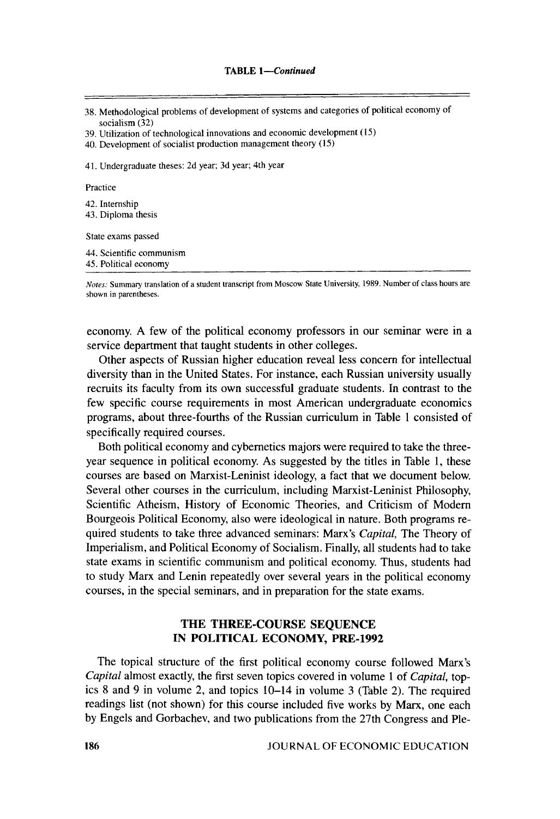38. Methodological problems of development of systems and categories of political economy of socialism (32)

39. Utilization of technological innovations and economic development (15)

40. Development of socialist production management theory (15)

41. Undergraduate theses: 2d year; 3d year; 4th year

Practice

42. Internship 43. Diploma thesis

State exams passed

44. Scientific communism 45. Political economy

*Notes:* Summary translation of a student transcript from Moscow State University, 1989. Number of class hours are shown in parentheses.

economy. A few of the political economy professors in our seminar were in a service department that taught students in other colleges.

Other aspects of Russian higher education reveal less concern for intellectual diversity than in the United States. For instance, each Russian university usually recruits its faculty from its own successful graduate students. In contrast to the few specific course requirements in most American undergraduate economics programs, about three-fourths of the Russian curriculum in Table 1 consisted of specifically required courses.

Both political economy and cybernetics majors were required to take the threeyear sequence in political economy. As suggested by the titles in Table 1, these courses are based on Marxist-Leninist ideology, a fact that we document below. Several other courses in the curriculum, including Marxist-Leninist Philosophy, Scientific Atheism, History of Economic Theories, and Criticism of Modern Bourgeois Political Economy, also were ideological in nature. Both programs required students to take three advanced seminars: Marx's *Capital,* The Theory of Imperialism, and Political Economy of Socialism. Finally, all students had to take state exams in scientific communism and political economy. Thus, students had to study Marx and Lenin repeatedly over several years in the political economy courses, in the special seminars, and in preparation for the state exams.

### **THE THREE-COURSE SEQUENCE IN POLITICAL ECONOMY, PRE-1992**

The topical structure of the first political economy course followed Marx's *Capital* almost exactly, the first seven topics covered in volume 1 of *Capital,* topics 8 and 9 in volume 2, and topics 10-14 in volume **3** (Table 2). The required readings list (not shown) for this course included five works by Marx, one each by Engels and Gorbachev, and two publications from the 27th Congress and Ple-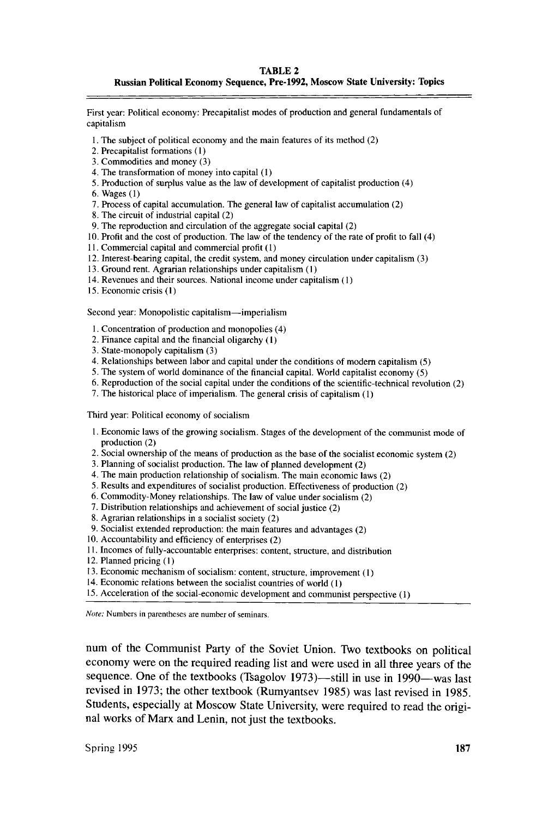#### **TABLE 2**

#### **Russian Political Economy Sequence, Pre-1992, Moscow State University: Topics**

First year: Political economy: Precapitalist modes of production and general fundamentals of capitalism

- 1. The subject of political economy and the main features of its method (2)
- 2. Precapitalist formations (I)
- 3. Commodities and money (3)
- 4. The transformation of money into capital (1)
- 5. Production of surplus value as the law of development of capitalist production (4)
- 6. Wages (I)
- 7. Process of capital accumulation. The general law of capitalist accumulation (2)
- 8. The circuit of industrial capital (2)
- 9. The reproduction and circulation of the aggregate social capital (2)
- 10. Profit and the cost of production. The law of the tendency of the rate of profit to fall (4)
- 11. Commercial capital and commercial profit (I)
- 12. Interest-hearing capital, the credit system, and money circulation under capitalism (3)
- 13. Ground rent. Agrarian relationships under capitalism (1)
- 14. Revenues and their sources. National income under capitalism (I)
- 15. Economic crisis (I)

Second year: Monopolistic capitalism-imperialism

- 1. Concentration of production and monopolies (4)
- 2. Finance capital and the financial oligarchy (I)
- 3. State-monopoly capitalism (3)
- 4. Relationships between labor and capital under the conditions of modem capitalism (5)
- 5. The system of world dominance of the financial capital. World capitalist economy (5)
- 6. Reproduction of the social capital under the conditions of the scientific-technical revolution (2)
- 7. The historical place of imperialism. The general crisis of capitalism (1)

Third year: Political economy of socialism

- I. Economic laws of the growing socialism. Stages of the development of the communist mode of production (2)
- 2. Social ownership of the means of production as the base of the socialist economic system (2)
- 3. Planning of socialist production. The law of planned development (2)
- 4. The main production relationship of socialism. The main economic laws (2)
- 5. Results and expenditures of socialist production. Effectiveness of production (2)
- 6. Commodity-Money relationships. The law of value under socialism (2)
- 7. Distribution relationships and achievement of social justice (2)
- 8. Agrarian relationships in a socialist society (2)
- 9. Socialist extended reproduction: the main features and advantages (2)
- 10. Accountability and efficiency of enterprises (2)
- I I. Incomes of fully-accountable enterprises: content, structure, and distribution
- 12. Planned pricing (I)
- 13. Economic mechanism of socialism: content, structure, improvement (1)
- 14. Economic relations between the socialist countries of world (I)
- 15. Acceleration of the social-economic development and communist perspective (1)

*Note:* Numbers in parentheses are number of seminars

num of the Communist Party of the Soviet Union. Two textbooks on political economy were on the required reading list and were used in all three years of the sequence. One of the textbooks (Tsagolov 1973)—still in use in 1990—was last revised in 1973; the other textbook (Rumyantsev 1985) was last revised in 1985. Students, especially at Moscow State University, were required to read the original works of Marx and Lenin, not just the textbooks.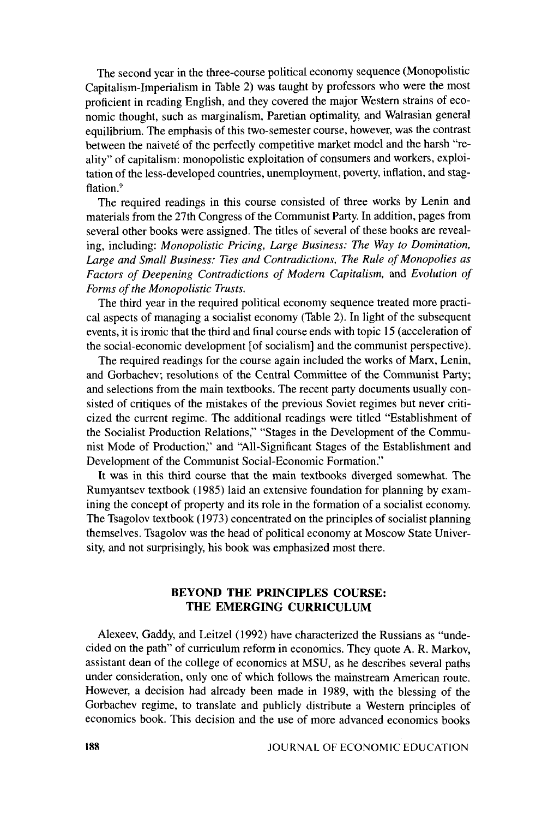The second year in the three-course political economy sequence (Monopolistic Capitalism-Imperialism in Table 2) was taught by professors who were the most proficient in reading English, and they covered the major Western strains of economic thought, such as marginalism, Paretian optimality, and Walrasian general equilibrium. The emphasis of this two-semester course, however, was the contrast between the naiveté of the perfectly competitive market model and the harsh "reality" of capitalism: monopolistic exploitation of consumers and workers, exploitation of the less-developed countries, unemployment, poverty, inflation, and stagflation. $9$ 

The required readings in this course consisted of three works by Lenin and materials from the 27th Congress of the Communist Party. In addition, pages from several other books were assigned. The titles of several of these books are revealing, including: *Monopolistic Pricing, Large Business: The Way to Domination, Large and Small Business: Ties and Contradictions, The Rule of Monopolies as Factors of Deepening Contradictions of Modern Capitalism,* and *Evolution of Forms of the Monopolistic Trusts.* 

The third year in the required political economy sequence treated more practical aspects of managing a socialist economy (Table 2). In light of the subsequent events, it is ironic that the third and final course ends with topic 15 (acceleration of the social-economic development [of socialism] and the communist perspective).

The required readings for the course again included the works of Marx, Lenin, and Gorbachev; resolutions of the Central Committee of the Communist Party; and selections from the main textbooks. The recent party documents usually consisted of critiques of the mistakes of the previous Soviet regimes but never criticized the current regime. The additional readings were titled "Establishment of the Socialist Production Relations," "Stages in the Development of the Communist Mode of Production," and "All-Significant Stages of the Establishment and Development of the Communist Social-Economic Formation."

It was in this third course that the main textbooks diverged somewhat. The Rumyantsev textbook (1985) laid an extensive foundation for planning by examining the concept of property and its role in the formation of a socialist economy. The Tsagolov textbook (1973) concentrated on the principles of socialist planning themselves. Tsagolov was the head of political economy at Moscow State University, and not surprisingly, his book was emphasized most there.

## **BEYOND THE PRINCIPLES COURSE: THE EMERGING CURRICULUM**

Alexeev, Gaddy, and Leitzel (1992) have characterized the Russians as "undecided on the path" of curriculum reform in economics. They quote A. R. Markov, assistant dean of the college of economics at MSU, as he describes several paths under consideration, only one of which follows the mainstream American route. However, a decision had already been made in 1989, with the blessing of the Gorbachev regime, to translate and publicly distribute a Western principles of economics book. This decision and the use of more advanced economics books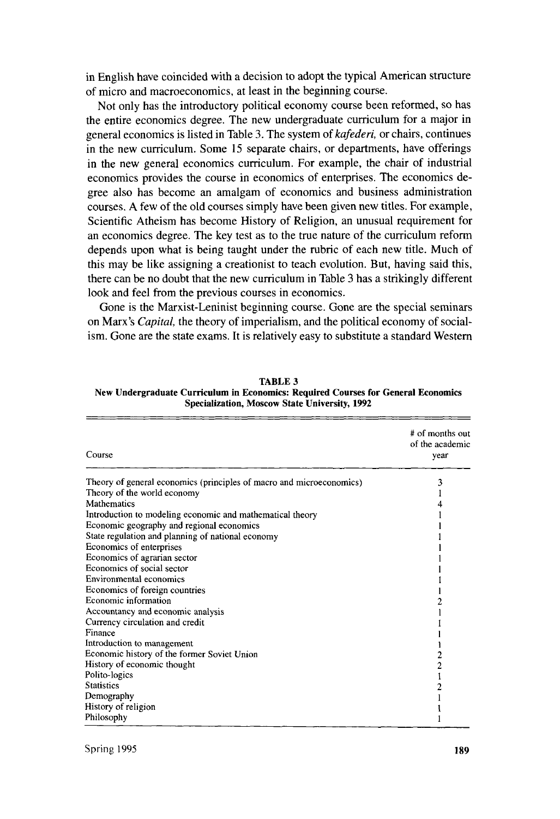in English have coincided with a decision to adopt the typical American structure of micro and macroeconomics, at least in the beginning course.

Not only has the introductory political economy course been reformed, so has the entire economics degree. The new undergraduate curriculum for a major in general economics is listed in Table **3.** The system of kafederi, or chairs, continues in the new curriculum. Some 15 separate chairs, or departments, have offerings in the new general economics curriculum. For example, the chair of industrial economics provides the course in economics of enterprises. The economics degree also has become an amalgam of economics and business administration courses. **A** few of the old courses simply have been given new titles. For example, Scientific Atheism has become History of Religion, an unusual requirement for an economics degree. The key test as to the true nature of the curriculum reform depends upon what is being taught under the rubric of each new title. Much of this may be like assigning a creationist to teach evolution. But, having said this, there can be no doubt that the new curriculum in Table **3** has a strikingly different look and feel from the previous courses in economics.

Gone is the Marxist-Leninist beginning course. Gone are the special seminars on Marx's **Capital,** the theory of imperialism, and the political economy of socialism. Gone are the state exams. It is relatively easy to substitute a standard Western

| Course                                                               | # of months out<br>of the academic<br>year |
|----------------------------------------------------------------------|--------------------------------------------|
| Theory of general economics (principles of macro and microeconomics) | 3                                          |
| Theory of the world economy                                          |                                            |
| <b>Mathematics</b>                                                   |                                            |
| Introduction to modeling economic and mathematical theory            |                                            |
| Economic geography and regional economics                            |                                            |
| State regulation and planning of national economy                    |                                            |
| Economics of enterprises                                             |                                            |
| Economics of agrarian sector                                         |                                            |
| Economics of social sector                                           |                                            |
| Environmental economics                                              |                                            |
| Economics of foreign countries                                       |                                            |
| Economic information                                                 |                                            |
| Accountancy and economic analysis                                    |                                            |
| Currency circulation and credit                                      |                                            |
| Finance                                                              |                                            |
| Introduction to management                                           |                                            |
| Economic history of the former Soviet Union                          |                                            |
| History of economic thought                                          | $\overline{c}$                             |
| Polito-logics                                                        | I                                          |
| <b>Statistics</b>                                                    | 2                                          |
| Demography                                                           |                                            |
| History of religion                                                  |                                            |
| Philosophy                                                           |                                            |

TABLE 3

### New Undergraduate Curriculum in Economics: Required Courses for General Economics Specialization, Moscow State University, 1992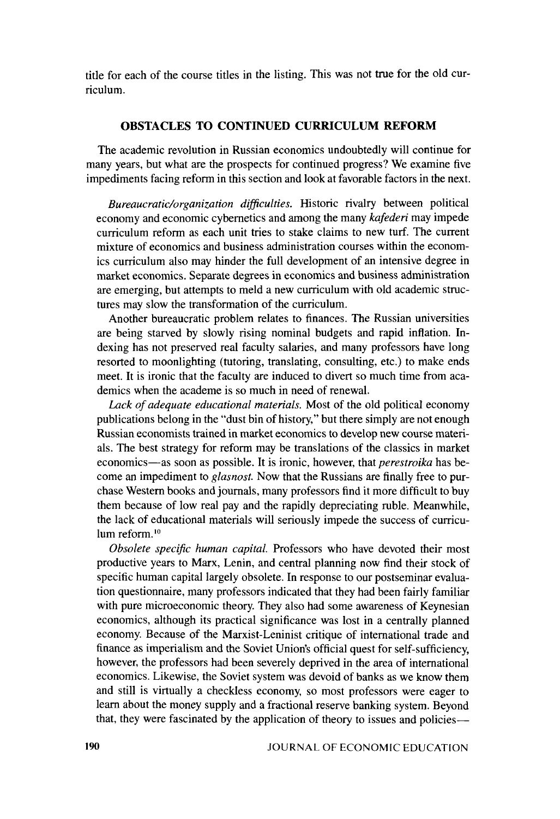title for each of the course titles in the listing. This was not true for the old curriculum.

## **OBSTACLES TO CONTINUED CURRICULUM REFORM**

The academic revolution in Russian economics undoubtedly will continue for many years, but what are the prospects for continued progress? We examine five impediments facing reform in this section and look at favorable factors in the next.

Bureaucratic/organization difficulties. Historic rivalry between political economy and economic cybernetics and among the many *kafederi* may impede curriculum reform as each unit tries to stake claims to new turf. The current mixture of economics and business administration courses within the economics curriculum also may hinder the full development of an intensive degree in market economics. Separate degrees in economics and business administration are emerging, but attempts to meld a new curriculum with old academic structures may slow the transformation of the curriculum.

Another bureaucratic problem relates to finances. The Russian universities are being starved by slowly rising nominal budgets and rapid inflation. Indexing has not preserved real faculty salaries, and many professors have long resorted to moonlighting (tutoring, translating, consulting, etc.) to make ends meet. It is ironic that the faculty are induced to divert so much time from academics when the academe is so much in need of renewal.

*Lack of adequate educational materials.* Most of the old political economy publications belong in the "dust bin of history," but there simply are not enough Russian economists trained in market economics to develop new course materials. The best strategy for reform may be translations of the classics in market economics—as soon as possible. It is ironic, however, that *perestroika* has become an impediment to *glasnost.* Now that the Russians are finally free to purchase Western books and journals, many professors find it more difficult to buy them because of low real pay and the rapidly depreciating ruble. Meanwhile, the lack of educational materials will seriously impede the success of curriculum reform.<sup>10</sup>

*Obsolete specijic human capital.* Professors who have devoted their most productive years to Marx, Lenin, and central planning now find their stock of specific human capital largely obsolete. In response to our postseminar evaluation questionnaire, many professors indicated that they had been fairly familiar with pure microeconomic theory. They also had some awareness of Keynesian economics, although its practical significance was lost in a centrally planned economy. Because of the Marxist-Leninist critique of international trade and finance as imperialism and the Soviet Union's official quest for self-sufficiency, however, the professors had been severely deprived in the area of international economics. Likewise, the Soviet system was devoid of banks as we know them and still is virtually a checkless economy, so most professors were eager to learn about the money supply and a fractional reserve banking system. Beyond that, they were fascinated by the application of theory to issues and policies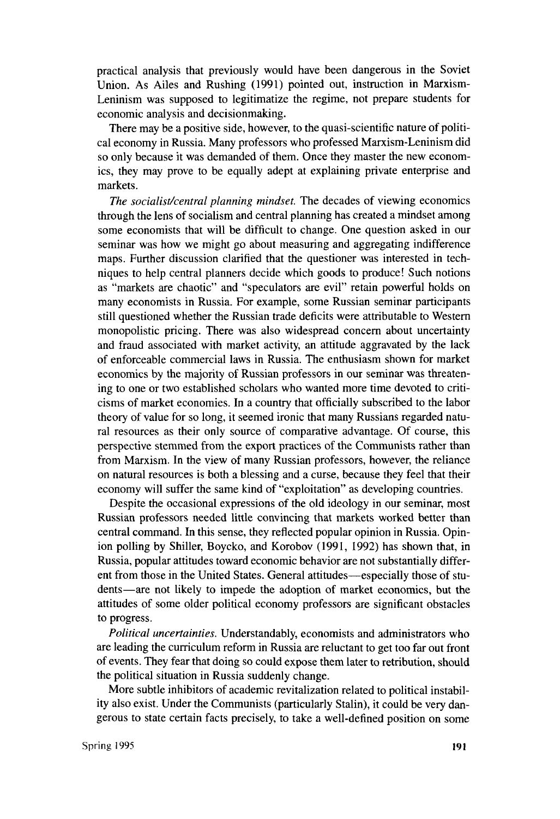practical analysis that previously would have been dangerous in the Soviet Union. As Ailes and Rushing (1991) pointed out, instruction in Marxism-Leninism was supposed to legitimatize the regime, not prepare students for economic analysis and decisionmaking.

There may be a positive side, however, to the quasi-scientific nature of political economy in Russia. Many professors who professed Marxism-Leninism did so only because it was demanded of them. Once they master the new economics, they may prove to be equally adept at explaining private enterprise and markets.

*The socialist/central planning mindset.* The decades of viewing economics through the lens of socialism and central planning has created a mindset among some economists that will be difficult to change. One question asked in our seminar was how we might go about measuring and aggregating indifference maps. Further discussion clarified that the questioner was interested in techniques to help central planners decide which goods to produce! Such notions as "markets are chaotic" and "speculators are evil" retain powerful holds on many economists in Russia. For example, some Russian seminar participants still questioned whether the Russian trade deficits were attributable to Western monopolistic pricing. There was also widespread concern about uncertainty and fraud associated with market activity, an attitude aggravated by the lack of enforceable commercial laws in Russia. The enthusiasm shown for market economics by the majority of Russian professors in our seminar was threatening to one or two established scholars who wanted more time devoted to criticisms of market economies. In a country that officially subscribed to the labor theory of value for so long, it seemed ironic that many Russians regarded natural resources as their only source of comparative advantage. Of course, this perspective stemmed from the export practices of the Communists rather than from Marxism. In the view of many Russian professors, however, the reliance on natural resources is both a blessing and a curse, because they feel that their economy will suffer the same kind of "exploitation" as developing countries.

Despite the occasional expressions of the old ideology in our seminar, most Russian professors needed little convincing that markets worked better than central command. In this sense, they reflected popular opinion in Russia. Opinion polling by Shiller, Boycko, and Korobov (1991, 1992) has shown that, in Russia, popular attitudes toward economic behavior are not substantially different from those in the United States. General attitudes-especially those of students—are not likely to impede the adoption of market economics, but the attitudes of some older political economy professors are significant obstacles to progress.

*Political uncertainties.* Understandably, economists and administrators who are leading the curriculum reform in Russia are reluctant to get too far out front of events. They fear that doing so could expose them later to retribution, should the political situation in Russia suddenly change.

More subtle inhibitors of academic revitalization related to political instability also exist. Under the Communists (particularly Stalin), it could be very dangerous to state certain facts precisely, to take a well-defined position on some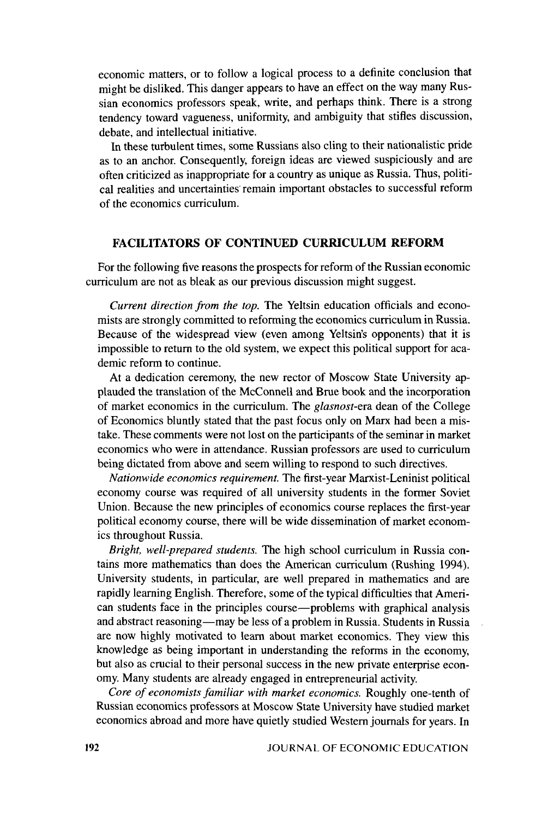economic matters, or to follow a logical process to a definite conclusion that might be disliked. This danger appears to have an effect on the way many Russian economics professors speak, write, and perhaps think. There is a strong tendency toward vagueness, uniformity, and ambiguity that stifles discussion, debate, and intellectual initiative.

In these turbulent times, some Russians also cling to their nationalistic pride as to an anchor. Consequently, foreign ideas are viewed suspiciously and are often criticized as inappropriate for a country as unique as Russia. Thus, political realities and uncertainties remain important obstacles to successful reform of the economics curriculum.

## **FACILITATORS OF CONTINUED CURRICULUM REFORM**

For the following five reasons the prospects for reform of the Russian economic curriculum are not as bleak as our previous discussion might suggest.

*Current direction from the top.* The Yeltsin education officials and economists are strongly committed to reforming the economics curriculum in Russia. Because of the widespread view (even among Yeltsin's opponents) that it is impossible to return to the old system, we expect this political support for academic reform to continue.

At a dedication ceremony, the new rector of Moscow State University applauded the translation of the McConnell and Brue book and the incorporation of market economics in the curriculum. The *glasnost-era* dean of the College of Economics bluntly stated that the past focus only on Marx had been a mistake. These comments were not lost on the participants of the seminar in market economics who were in attendance. Russian professors are used to curriculum being dictated from above and seem willing to respond to such directives.

*Nationwide economics requirement.* The first-year Marxist-Leninist political economy course was required of all university students in the former Soviet Union. Because the new principles of economics course replaces the first-year political economy course, there will be wide dissemination of market economics throughout Russia.

*Bright, well-prepared students.* The high school curriculum in Russia contains more mathematics than does the American curriculum (Rushing 1994). University students, in particular, are well prepared in mathematics and are rapidly learning English. Therefore, some of the typical difficulties that American students face in the principles course—problems with graphical analysis and abstract reasoning-may be less of a problem in Russia. Students in Russia are now highly motivated to learn about market economics. They view this knowledge as being important in understanding the reforms in the economy, but also as crucial to their personal success in the new private enterprise economy. Many students are already engaged in entrepreneurial activity.

*Core of economists familiar with market economics.* Roughly one-tenth of Russian economics professors at Moscow State University have studied market economics abroad and more have quietly studied Western journals for years. In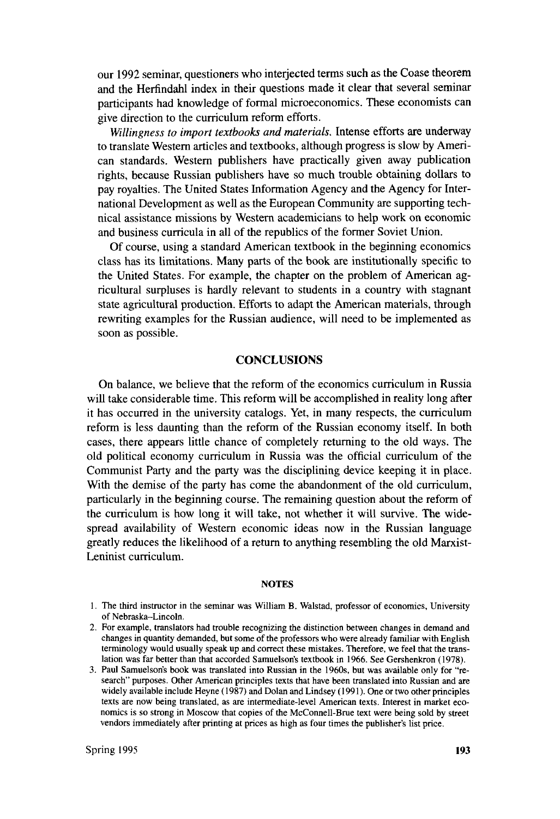our 1992 seminar, questioners who interjected terms such as the Coase theorem and the Herfindahl index in their questions made it clear that several seminar participants had knowledge of formal microeconomics. These economists can give direction to the curriculum reform efforts.

*Willingness to import textbooks and materials.* Intense efforts are underway to translate Western articles and textbooks, although progress is slow by American standards. Western publishers have practically given away publication rights, because Russian publishers have so much trouble obtaining dollars to pay royalties. The United States Information Agency and the Agency for International Development as well as the European community are supporting technical assistance missions by Western academicians to help work on economic and business curricula in all of the republics of the former Soviet Union.

Of course, using a standard American textbook in the beginning economics class has its limitations. Many parts of the book are institutionally specific to the United States. For example, the chapter on the problem of American agricultural surpluses is hardly relevant to students in a country with stagnant state agricultural production. Efforts to adapt the American materials, through rewriting examples for the Russian audience, will need to be implemented as soon as possible.

### **CONCLUSIONS**

On balance, we believe that the reform of the economics curriculum in Russia will take considerable time. This reform will be accomplished in reality long after it has occurred in the university catalogs. Yet, in many respects, the curriculum reform is less daunting than the reform of the Russian economy itself. In both cases, there appears little chance of completely returning to the old ways. The old political economy curriculum in Russia was the official curriculum of the Communist Party and the party was the disciplining device keeping it in place. With the demise of the party has come the abandonment of the old curriculum, particularly in the beginning course. The remaining question about the reform of the curriculum is how long it will take, not whether it will survive. The widespread availability of Western economic ideas now in the Russian language greatly reduces the likelihood of a return to anything resembling the old Marxist-Leninist curriculum.

#### **NOTES**

- 1. The third instructor in the seminar was William B. Walstad, professor of economics, University of Nebraska-Lincoln.
- 2. For example, translators had trouble recognizing the distinction between changes in demand and changes in quantity demanded, but some of the professors who were already familiar with English terminology would usually speak up and correct these mistakes. Therefore, we feel that the translation was far better than that accorded Samuelson's textbook in 1966. See Gershenkron (1978).
- 3. Paul Samuelson's book was translated into Russian in the 1960s, but was available only for "research" purposes. Other American principles texts that have been translated into Russian and are widely available include Heyne (1987) and Dolan and Lindsey (1991). One or two other principles texts are now being translated, as are intermediate-level American texts. Interest in market economics is so strong in Moscow that copies of the McConnell-Brue text were being sold by street vendors immediately after printing at prices as high as four times the publisher's list price.